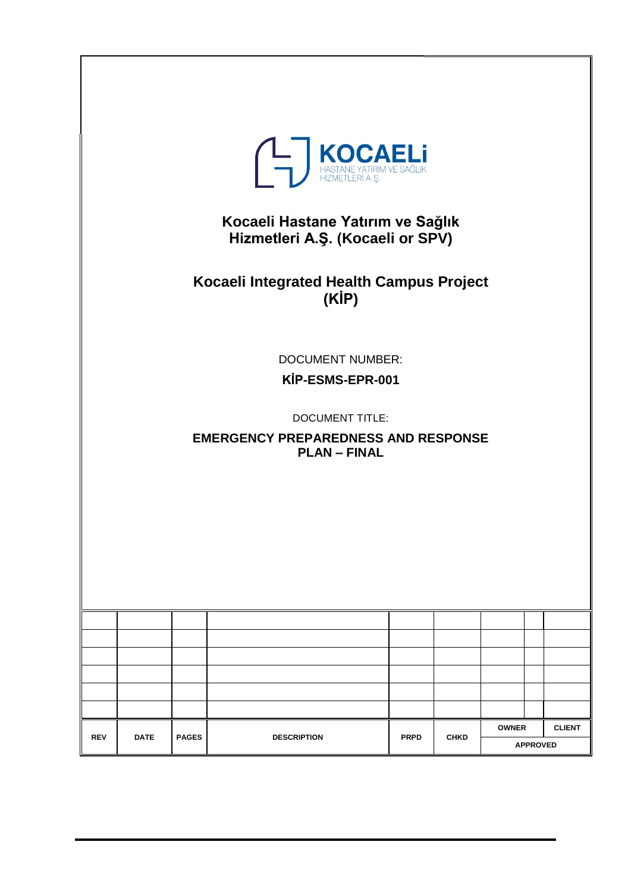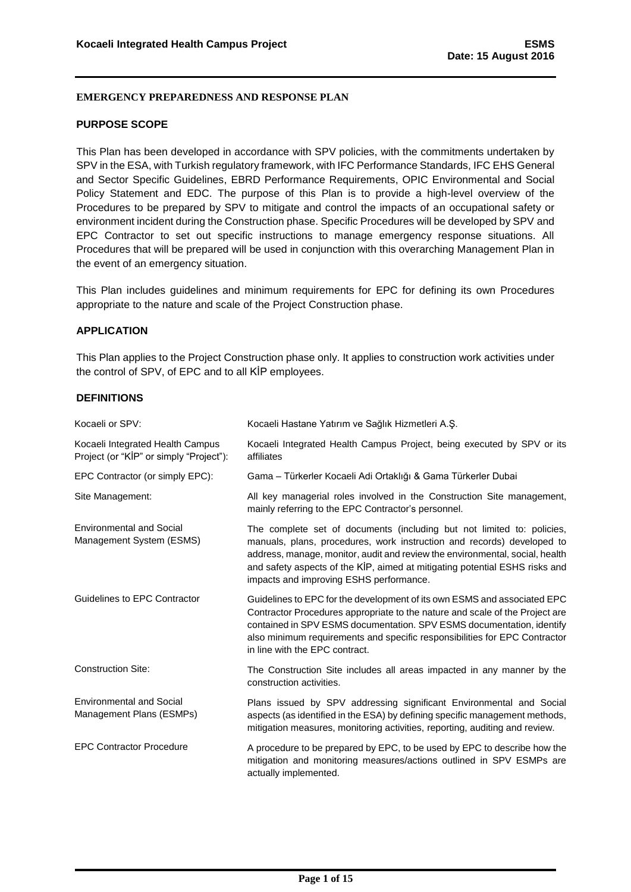#### <span id="page-1-0"></span>**PURPOSE SCOPE**

This Plan has been developed in accordance with SPV policies, with the commitments undertaken by SPV in the ESA, with Turkish regulatory framework, with IFC Performance Standards, IFC EHS General and Sector Specific Guidelines, EBRD Performance Requirements, OPIC Environmental and Social Policy Statement and EDC. The purpose of this Plan is to provide a high-level overview of the Procedures to be prepared by SPV to mitigate and control the impacts of an occupational safety or environment incident during the Construction phase. Specific Procedures will be developed by SPV and EPC Contractor to set out specific instructions to manage emergency response situations. All Procedures that will be prepared will be used in conjunction with this overarching Management Plan in the event of an emergency situation.

This Plan includes guidelines and minimum requirements for EPC for defining its own Procedures appropriate to the nature and scale of the Project Construction phase.

## <span id="page-1-1"></span>**APPLICATION**

This Plan applies to the Project Construction phase only. It applies to construction work activities under the control of SPV, of EPC and to all KİP employees.

#### <span id="page-1-2"></span>**DEFINITIONS**

| Kocaeli or SPV:                                                             | Kocaeli Hastane Yatırım ve Sağlık Hizmetleri A.Ş.                                                                                                                                                                                                                                                                                                          |
|-----------------------------------------------------------------------------|------------------------------------------------------------------------------------------------------------------------------------------------------------------------------------------------------------------------------------------------------------------------------------------------------------------------------------------------------------|
| Kocaeli Integrated Health Campus<br>Project (or "KIP" or simply "Project"): | Kocaeli Integrated Health Campus Project, being executed by SPV or its<br>affiliates                                                                                                                                                                                                                                                                       |
| EPC Contractor (or simply EPC):                                             | Gama - Türkerler Kocaeli Adi Ortaklığı & Gama Türkerler Dubai                                                                                                                                                                                                                                                                                              |
| Site Management:                                                            | All key managerial roles involved in the Construction Site management,<br>mainly referring to the EPC Contractor's personnel.                                                                                                                                                                                                                              |
| <b>Environmental and Social</b><br>Management System (ESMS)                 | The complete set of documents (including but not limited to: policies,<br>manuals, plans, procedures, work instruction and records) developed to<br>address, manage, monitor, audit and review the environmental, social, health<br>and safety aspects of the KİP, aimed at mitigating potential ESHS risks and<br>impacts and improving ESHS performance. |
| Guidelines to EPC Contractor                                                | Guidelines to EPC for the development of its own ESMS and associated EPC<br>Contractor Procedures appropriate to the nature and scale of the Project are<br>contained in SPV ESMS documentation. SPV ESMS documentation, identify<br>also minimum requirements and specific responsibilities for EPC Contractor<br>in line with the EPC contract.          |
| <b>Construction Site:</b>                                                   | The Construction Site includes all areas impacted in any manner by the<br>construction activities.                                                                                                                                                                                                                                                         |
| <b>Environmental and Social</b><br>Management Plans (ESMPs)                 | Plans issued by SPV addressing significant Environmental and Social<br>aspects (as identified in the ESA) by defining specific management methods,<br>mitigation measures, monitoring activities, reporting, auditing and review.                                                                                                                          |
| <b>EPC Contractor Procedure</b>                                             | A procedure to be prepared by EPC, to be used by EPC to describe how the<br>mitigation and monitoring measures/actions outlined in SPV ESMPs are<br>actually implemented.                                                                                                                                                                                  |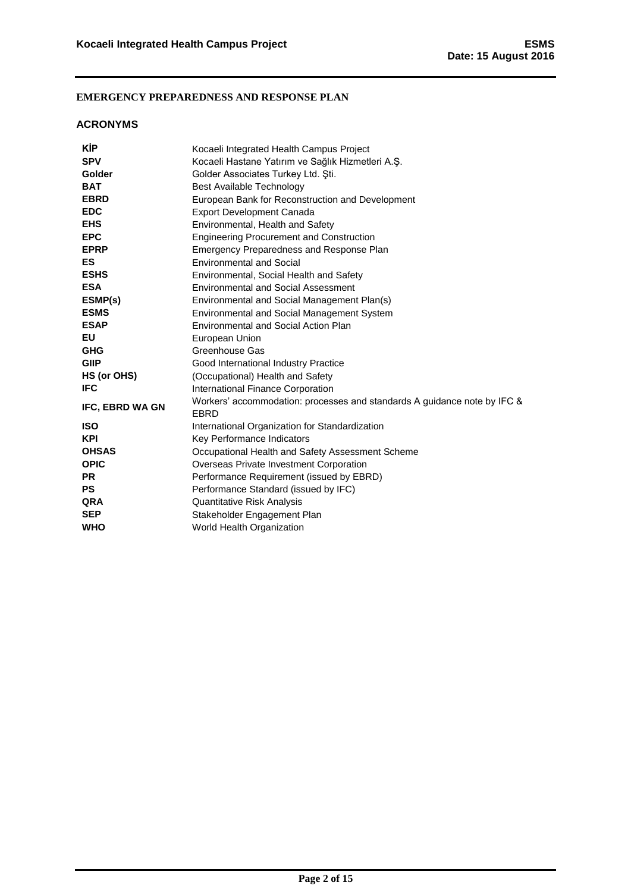## <span id="page-2-0"></span>**ACRONYMS**

| <b>KIP</b>      | Kocaeli Integrated Health Campus Project                                         |
|-----------------|----------------------------------------------------------------------------------|
| <b>SPV</b>      | Kocaeli Hastane Yatırım ve Sağlık Hizmetleri A.Ş.                                |
| <b>Golder</b>   | Golder Associates Turkey Ltd. Sti.                                               |
| <b>BAT</b>      | Best Available Technology                                                        |
| <b>EBRD</b>     | European Bank for Reconstruction and Development                                 |
| <b>EDC</b>      | <b>Export Development Canada</b>                                                 |
| <b>EHS</b>      | Environmental, Health and Safety                                                 |
| <b>EPC</b>      | <b>Engineering Procurement and Construction</b>                                  |
| <b>EPRP</b>     | Emergency Preparedness and Response Plan                                         |
| <b>ES</b>       | <b>Environmental and Social</b>                                                  |
| <b>ESHS</b>     | Environmental, Social Health and Safety                                          |
| <b>ESA</b>      | <b>Environmental and Social Assessment</b>                                       |
| ESMP(s)         | Environmental and Social Management Plan(s)                                      |
| <b>ESMS</b>     | <b>Environmental and Social Management System</b>                                |
| <b>ESAP</b>     | Environmental and Social Action Plan                                             |
| EU              | European Union                                                                   |
| <b>GHG</b>      | Greenhouse Gas                                                                   |
| <b>GIIP</b>     | Good International Industry Practice                                             |
| HS (or OHS)     | (Occupational) Health and Safety                                                 |
| <b>IFC</b>      | International Finance Corporation                                                |
| IFC, EBRD WA GN | Workers' accommodation: processes and standards A guidance note by IFC &<br>EBRD |
| <b>ISO</b>      | International Organization for Standardization                                   |
| <b>KPI</b>      | Key Performance Indicators                                                       |
| <b>OHSAS</b>    | Occupational Health and Safety Assessment Scheme                                 |
| <b>OPIC</b>     | Overseas Private Investment Corporation                                          |
| <b>PR</b>       | Performance Requirement (issued by EBRD)                                         |
| <b>PS</b>       | Performance Standard (issued by IFC)                                             |
| <b>QRA</b>      | Quantitative Risk Analysis                                                       |
| <b>SEP</b>      | Stakeholder Engagement Plan                                                      |
| <b>WHO</b>      | World Health Organization                                                        |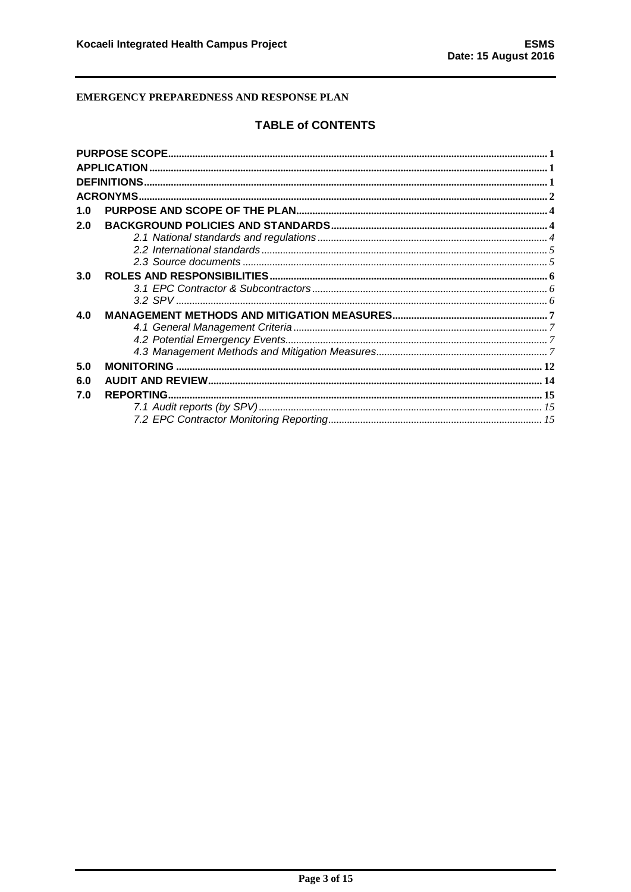# **TABLE of CONTENTS**

| 1.0 |  |
|-----|--|
| 2.0 |  |
|     |  |
|     |  |
|     |  |
| 3.0 |  |
|     |  |
|     |  |
| 4.0 |  |
|     |  |
|     |  |
|     |  |
| 5.0 |  |
| 6.0 |  |
| 7.0 |  |
|     |  |
|     |  |
|     |  |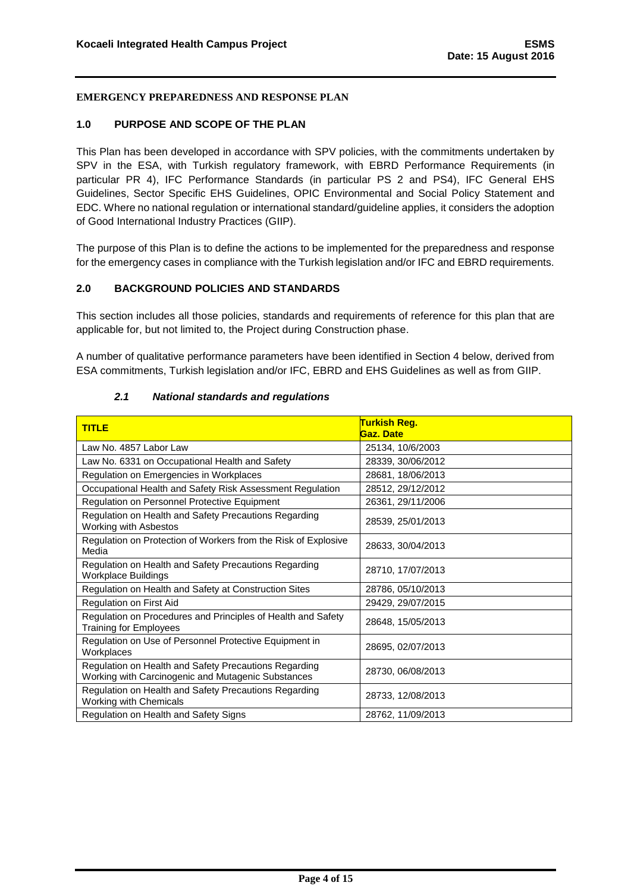## <span id="page-4-0"></span>**1.0 PURPOSE AND SCOPE OF THE PLAN**

This Plan has been developed in accordance with SPV policies, with the commitments undertaken by SPV in the ESA, with Turkish regulatory framework, with EBRD Performance Requirements (in particular PR 4), IFC Performance Standards (in particular PS 2 and PS4), IFC General EHS Guidelines, Sector Specific EHS Guidelines, OPIC Environmental and Social Policy Statement and EDC. Where no national regulation or international standard/guideline applies, it considers the adoption of Good International Industry Practices (GIIP).

The purpose of this Plan is to define the actions to be implemented for the preparedness and response for the emergency cases in compliance with the Turkish legislation and/or IFC and EBRD requirements.

## <span id="page-4-1"></span>**2.0 BACKGROUND POLICIES AND STANDARDS**

This section includes all those policies, standards and requirements of reference for this plan that are applicable for, but not limited to, the Project during Construction phase.

A number of qualitative performance parameters have been identified in Section 4 below, derived from ESA commitments, Turkish legislation and/or IFC, EBRD and EHS Guidelines as well as from GIIP.

<span id="page-4-2"></span>

| <b>TITLE</b>                                                                                                | Turkish Reg.<br><b>Gaz. Date</b> |  |  |
|-------------------------------------------------------------------------------------------------------------|----------------------------------|--|--|
| Law No. 4857 Labor Law                                                                                      | 25134, 10/6/2003                 |  |  |
| Law No. 6331 on Occupational Health and Safety                                                              | 28339, 30/06/2012                |  |  |
| Regulation on Emergencies in Workplaces                                                                     | 28681, 18/06/2013                |  |  |
| Occupational Health and Safety Risk Assessment Regulation                                                   | 28512, 29/12/2012                |  |  |
| Regulation on Personnel Protective Equipment                                                                | 26361, 29/11/2006                |  |  |
| Regulation on Health and Safety Precautions Regarding<br>Working with Asbestos                              | 28539, 25/01/2013                |  |  |
| Regulation on Protection of Workers from the Risk of Explosive<br>Media                                     | 28633, 30/04/2013                |  |  |
| Regulation on Health and Safety Precautions Regarding<br>Workplace Buildings                                | 28710, 17/07/2013                |  |  |
| Regulation on Health and Safety at Construction Sites                                                       | 28786, 05/10/2013                |  |  |
| Regulation on First Aid                                                                                     | 29429, 29/07/2015                |  |  |
| Regulation on Procedures and Principles of Health and Safety<br><b>Training for Employees</b>               | 28648, 15/05/2013                |  |  |
| Regulation on Use of Personnel Protective Equipment in<br>Workplaces                                        | 28695, 02/07/2013                |  |  |
| Regulation on Health and Safety Precautions Regarding<br>Working with Carcinogenic and Mutagenic Substances | 28730, 06/08/2013                |  |  |
| Regulation on Health and Safety Precautions Regarding<br>Working with Chemicals                             | 28733, 12/08/2013                |  |  |
| Regulation on Health and Safety Signs                                                                       | 28762, 11/09/2013                |  |  |

#### *2.1 National standards and regulations*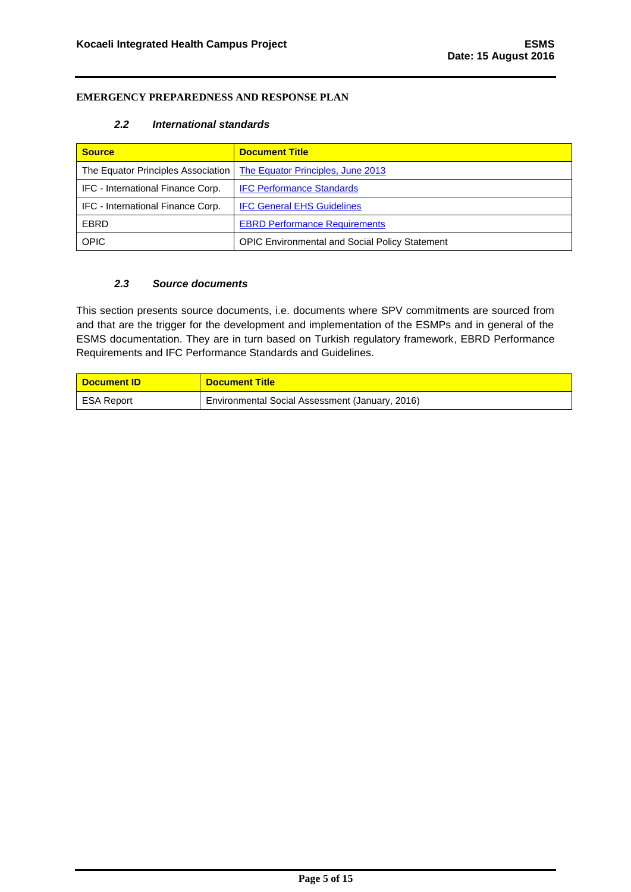## *2.2 International standards*

<span id="page-5-0"></span>

| <b>Source</b>                      | <b>Document Title</b>                                 |
|------------------------------------|-------------------------------------------------------|
| The Equator Principles Association | The Equator Principles, June 2013                     |
| IFC - International Finance Corp.  | <b>IFC Performance Standards</b>                      |
| IFC - International Finance Corp.  | <b>IFC General EHS Guidelines</b>                     |
| EBRD                               | <b>EBRD Performance Requirements</b>                  |
| <b>OPIC</b>                        | <b>OPIC Environmental and Social Policy Statement</b> |

## *2.3 Source documents*

<span id="page-5-1"></span>This section presents source documents, i.e. documents where SPV commitments are sourced from and that are the trigger for the development and implementation of the ESMPs and in general of the ESMS documentation. They are in turn based on Turkish regulatory framework, EBRD Performance Requirements and IFC Performance Standards and Guidelines.

| <mark>∣ Document ID∶</mark> | <b>Document Title</b>                           |
|-----------------------------|-------------------------------------------------|
| ESA Report                  | Environmental Social Assessment (January, 2016) |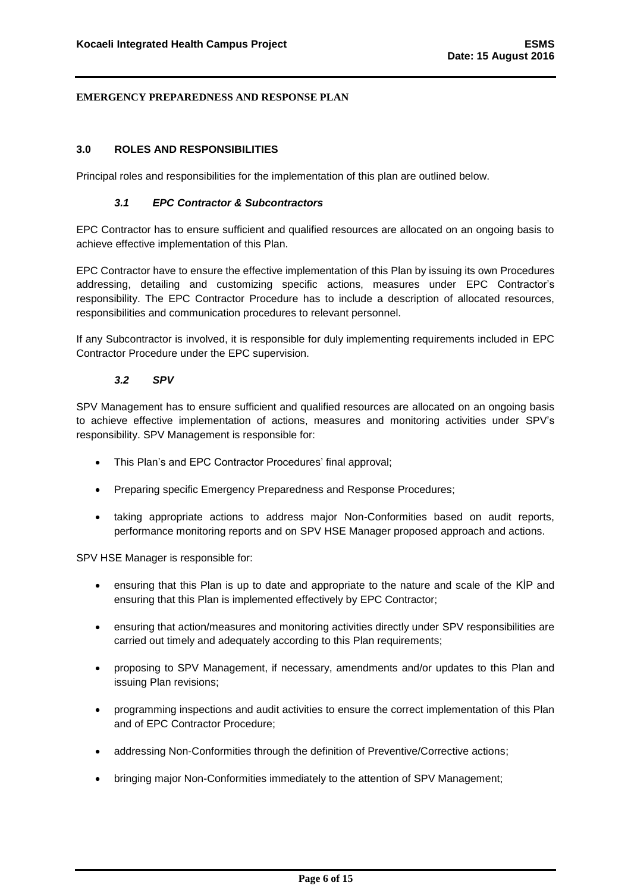## <span id="page-6-0"></span>**3.0 ROLES AND RESPONSIBILITIES**

<span id="page-6-1"></span>Principal roles and responsibilities for the implementation of this plan are outlined below.

#### *3.1 EPC Contractor & Subcontractors*

EPC Contractor has to ensure sufficient and qualified resources are allocated on an ongoing basis to achieve effective implementation of this Plan.

EPC Contractor have to ensure the effective implementation of this Plan by issuing its own Procedures addressing, detailing and customizing specific actions, measures under EPC Contractor's responsibility. The EPC Contractor Procedure has to include a description of allocated resources, responsibilities and communication procedures to relevant personnel.

If any Subcontractor is involved, it is responsible for duly implementing requirements included in EPC Contractor Procedure under the EPC supervision.

## *3.2 SPV*

<span id="page-6-2"></span>SPV Management has to ensure sufficient and qualified resources are allocated on an ongoing basis to achieve effective implementation of actions, measures and monitoring activities under SPV's responsibility. SPV Management is responsible for:

- This Plan's and EPC Contractor Procedures' final approval;
- Preparing specific Emergency Preparedness and Response Procedures;
- taking appropriate actions to address major Non-Conformities based on audit reports, performance monitoring reports and on SPV HSE Manager proposed approach and actions.

SPV HSE Manager is responsible for:

- ensuring that this Plan is up to date and appropriate to the nature and scale of the KİP and ensuring that this Plan is implemented effectively by EPC Contractor;
- ensuring that action/measures and monitoring activities directly under SPV responsibilities are carried out timely and adequately according to this Plan requirements;
- proposing to SPV Management, if necessary, amendments and/or updates to this Plan and issuing Plan revisions;
- programming inspections and audit activities to ensure the correct implementation of this Plan and of EPC Contractor Procedure;
- addressing Non-Conformities through the definition of Preventive/Corrective actions;
- bringing major Non-Conformities immediately to the attention of SPV Management;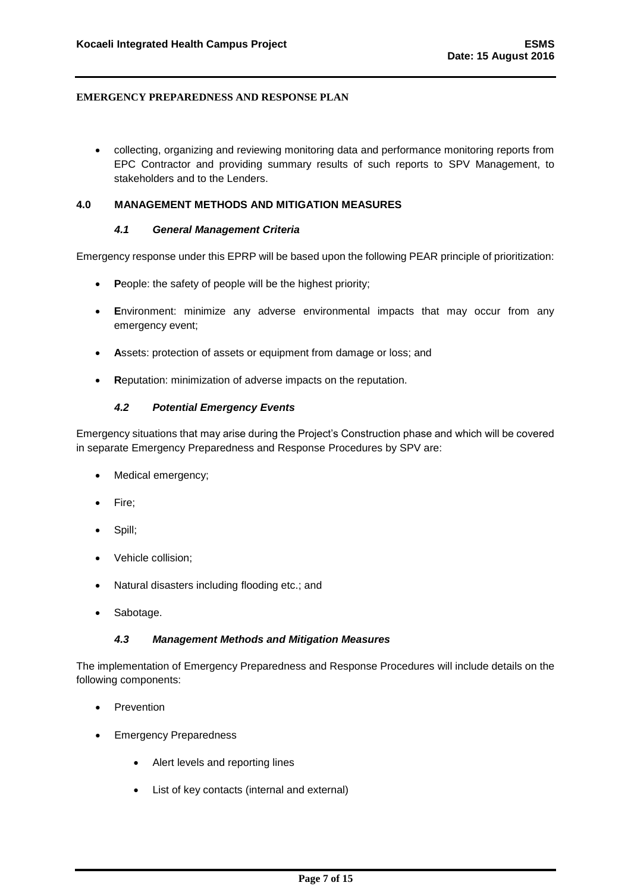collecting, organizing and reviewing monitoring data and performance monitoring reports from EPC Contractor and providing summary results of such reports to SPV Management, to stakeholders and to the Lenders.

## <span id="page-7-1"></span><span id="page-7-0"></span>**4.0 MANAGEMENT METHODS AND MITIGATION MEASURES**

#### *4.1 General Management Criteria*

Emergency response under this EPRP will be based upon the following PEAR principle of prioritization:

- **P**eople: the safety of people will be the highest priority;
- **E**nvironment: minimize any adverse environmental impacts that may occur from any emergency event;
- **A**ssets: protection of assets or equipment from damage or loss; and
- **R**eputation: minimization of adverse impacts on the reputation.

## *4.2 Potential Emergency Events*

<span id="page-7-2"></span>Emergency situations that may arise during the Project's Construction phase and which will be covered in separate Emergency Preparedness and Response Procedures by SPV are:

- Medical emergency;
- Fire;
- Spill:
- Vehicle collision;
- Natural disasters including flooding etc.; and
- Sabotage.

## *4.3 Management Methods and Mitigation Measures*

<span id="page-7-3"></span>The implementation of Emergency Preparedness and Response Procedures will include details on the following components:

- Prevention
- Emergency Preparedness
	- Alert levels and reporting lines
	- List of key contacts (internal and external)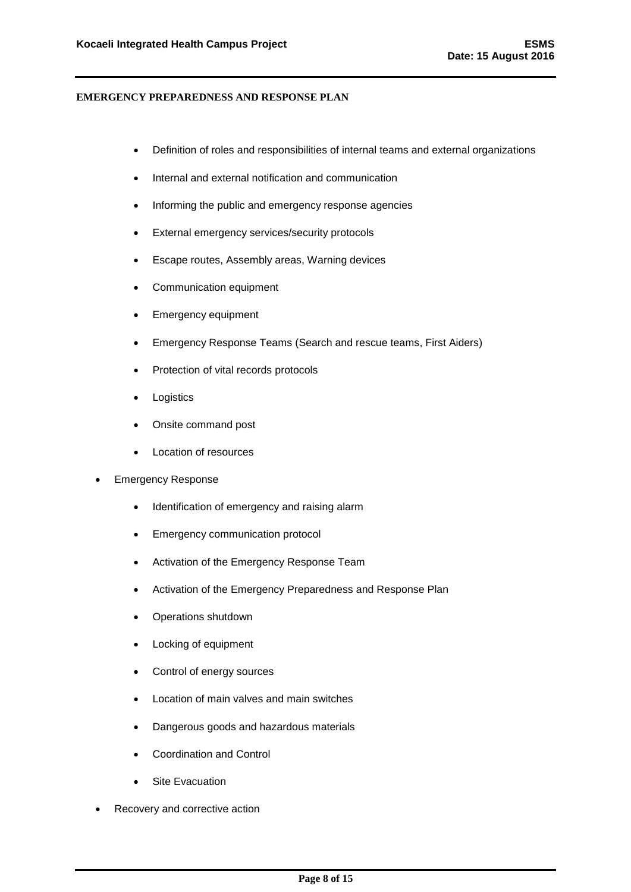- Definition of roles and responsibilities of internal teams and external organizations
- Internal and external notification and communication
- Informing the public and emergency response agencies
- External emergency services/security protocols
- Escape routes, Assembly areas, Warning devices
- Communication equipment
- Emergency equipment
- Emergency Response Teams (Search and rescue teams, First Aiders)
- Protection of vital records protocols
- Logistics
- Onsite command post
- Location of resources
- Emergency Response
	- Identification of emergency and raising alarm
	- Emergency communication protocol
	- Activation of the Emergency Response Team
	- Activation of the Emergency Preparedness and Response Plan
	- Operations shutdown
	- Locking of equipment
	- Control of energy sources
	- Location of main valves and main switches
	- Dangerous goods and hazardous materials
	- Coordination and Control
	- Site Evacuation
- Recovery and corrective action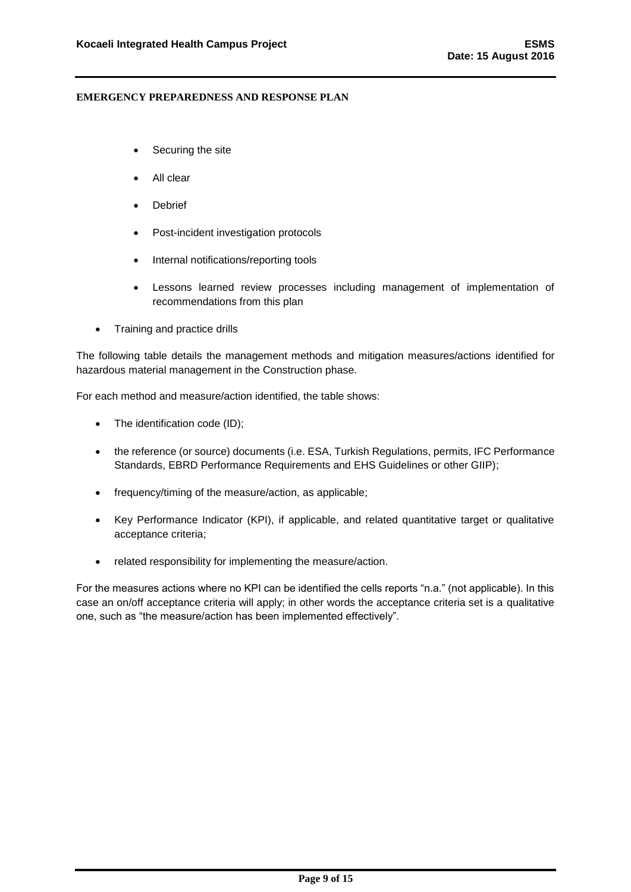- Securing the site
- All clear
- Debrief
- Post-incident investigation protocols
- Internal notifications/reporting tools
- Lessons learned review processes including management of implementation of recommendations from this plan
- Training and practice drills

The following table details the management methods and mitigation measures/actions identified for hazardous material management in the Construction phase.

For each method and measure/action identified, the table shows:

- The identification code (ID);
- the reference (or source) documents (i.e. ESA, Turkish Regulations, permits, IFC Performance Standards, EBRD Performance Requirements and EHS Guidelines or other GIIP);
- frequency/timing of the measure/action, as applicable;
- Key Performance Indicator (KPI), if applicable, and related quantitative target or qualitative acceptance criteria;
- related responsibility for implementing the measure/action.

For the measures actions where no KPI can be identified the cells reports "n.a." (not applicable). In this case an on/off acceptance criteria will apply; in other words the acceptance criteria set is a qualitative one, such as "the measure/action has been implemented effectively".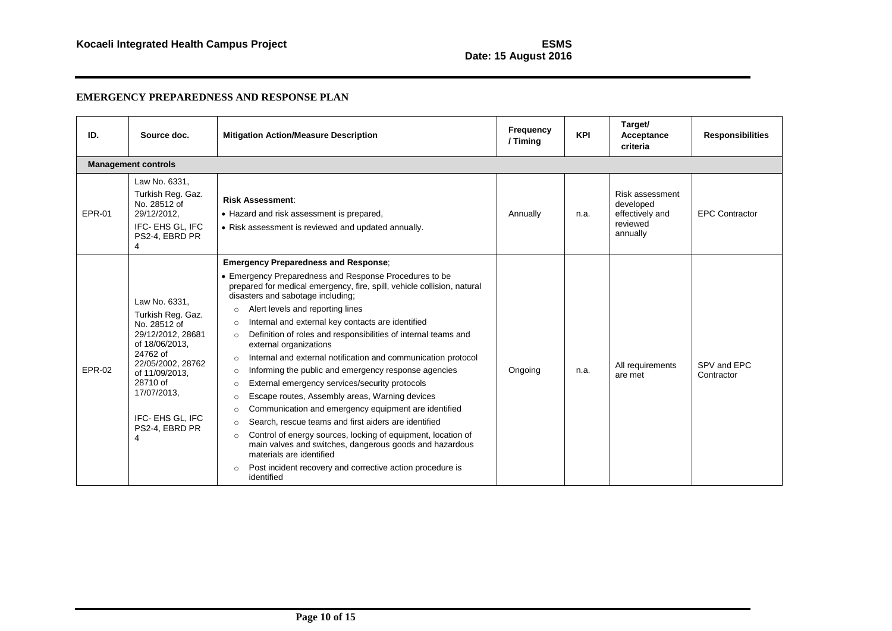# **Date: 15 August 2016**

| ID.           | Source doc.                                                                                                                                                                                                        | <b>Mitigation Action/Measure Description</b>                                                                                                                                                                                                                                                                                                                                                                                                                                                                                                                                                                                                                                                                                                                                                                                                                                                                                                                                                                                                                                                                       | Frequency<br>/ Timing | <b>KPI</b> | Target/<br>Acceptance<br>criteria                                       | <b>Responsibilities</b>   |
|---------------|--------------------------------------------------------------------------------------------------------------------------------------------------------------------------------------------------------------------|--------------------------------------------------------------------------------------------------------------------------------------------------------------------------------------------------------------------------------------------------------------------------------------------------------------------------------------------------------------------------------------------------------------------------------------------------------------------------------------------------------------------------------------------------------------------------------------------------------------------------------------------------------------------------------------------------------------------------------------------------------------------------------------------------------------------------------------------------------------------------------------------------------------------------------------------------------------------------------------------------------------------------------------------------------------------------------------------------------------------|-----------------------|------------|-------------------------------------------------------------------------|---------------------------|
|               | <b>Management controls</b>                                                                                                                                                                                         |                                                                                                                                                                                                                                                                                                                                                                                                                                                                                                                                                                                                                                                                                                                                                                                                                                                                                                                                                                                                                                                                                                                    |                       |            |                                                                         |                           |
| <b>EPR-01</b> | Law No. 6331,<br>Turkish Reg. Gaz.<br>No. 28512 of<br>29/12/2012,<br>IFC- EHS GL. IFC<br>PS2-4, EBRD PR<br>4                                                                                                       | <b>Risk Assessment:</b><br>• Hazard and risk assessment is prepared,<br>• Risk assessment is reviewed and updated annually.                                                                                                                                                                                                                                                                                                                                                                                                                                                                                                                                                                                                                                                                                                                                                                                                                                                                                                                                                                                        | Annually              | n.a.       | Risk assessment<br>developed<br>effectively and<br>reviewed<br>annually | <b>EPC Contractor</b>     |
| EPR-02        | Law No. 6331.<br>Turkish Reg. Gaz.<br>No. 28512 of<br>29/12/2012, 28681<br>of 18/06/2013.<br>24762 of<br>22/05/2002. 28762<br>of 11/09/2013.<br>28710 of<br>17/07/2013,<br>IFC- EHS GL, IFC<br>PS2-4, EBRD PR<br>4 | <b>Emergency Preparedness and Response;</b><br>• Emergency Preparedness and Response Procedures to be<br>prepared for medical emergency, fire, spill, vehicle collision, natural<br>disasters and sabotage including;<br>Alert levels and reporting lines<br>$\circ$<br>Internal and external key contacts are identified<br>$\circ$<br>Definition of roles and responsibilities of internal teams and<br>$\circ$<br>external organizations<br>Internal and external notification and communication protocol<br>$\circ$<br>Informing the public and emergency response agencies<br>$\circ$<br>External emergency services/security protocols<br>$\circ$<br>Escape routes, Assembly areas, Warning devices<br>$\circ$<br>Communication and emergency equipment are identified<br>$\circ$<br>Search, rescue teams and first aiders are identified<br>$\circ$<br>Control of energy sources, locking of equipment, location of<br>$\circ$<br>main valves and switches, dangerous goods and hazardous<br>materials are identified<br>Post incident recovery and corrective action procedure is<br>$\circ$<br>identified | Ongoing               | n.a.       | All requirements<br>are met                                             | SPV and EPC<br>Contractor |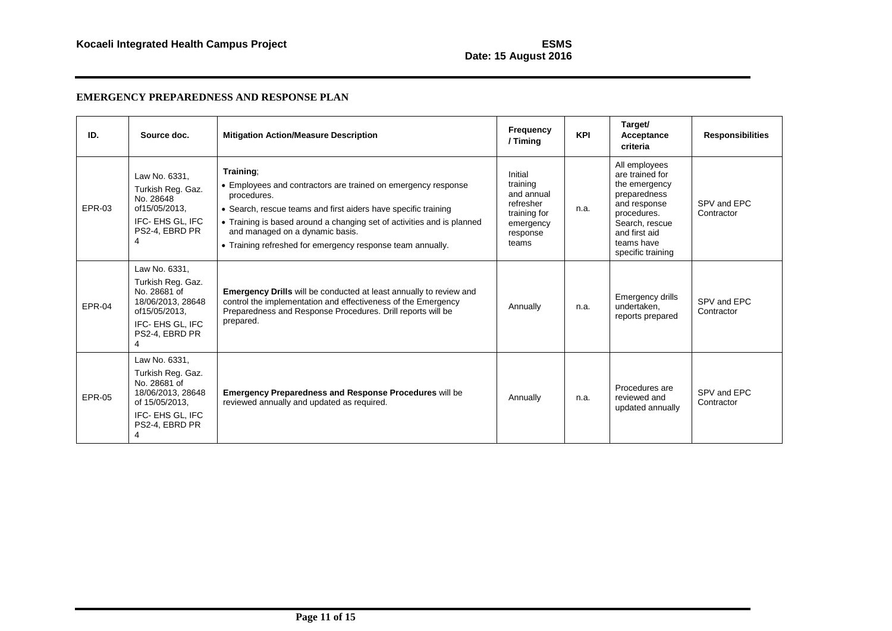# **Date: 15 August 2016**

| ID.      | Source doc.                                                                                                                    | <b>Mitigation Action/Measure Description</b>                                                                                                                                                                                                                                                                                           | Frequency<br>/ Timing                                                                            | <b>KPI</b> | Target/<br>Acceptance<br>criteria                                                                                                                                      | <b>Responsibilities</b>   |
|----------|--------------------------------------------------------------------------------------------------------------------------------|----------------------------------------------------------------------------------------------------------------------------------------------------------------------------------------------------------------------------------------------------------------------------------------------------------------------------------------|--------------------------------------------------------------------------------------------------|------------|------------------------------------------------------------------------------------------------------------------------------------------------------------------------|---------------------------|
| EPR-03   | Law No. 6331,<br>Turkish Reg. Gaz.<br>No. 28648<br>of15/05/2013.<br>IFC- EHS GL. IFC<br>PS2-4, EBRD PR                         | Training:<br>• Employees and contractors are trained on emergency response<br>procedures.<br>• Search, rescue teams and first aiders have specific training<br>• Training is based around a changing set of activities and is planned<br>and managed on a dynamic basis.<br>• Training refreshed for emergency response team annually. | Initial<br>training<br>and annual<br>refresher<br>training for<br>emergency<br>response<br>teams | n.a.       | All employees<br>are trained for<br>the emergency<br>preparedness<br>and response<br>procedures.<br>Search, rescue<br>and first aid<br>teams have<br>specific training | SPV and EPC<br>Contractor |
| $EPR-04$ | Law No. 6331.<br>Turkish Reg. Gaz.<br>No. 28681 of<br>18/06/2013, 28648<br>of15/05/2013.<br>IFC- EHS GL, IFC<br>PS2-4, EBRD PR | <b>Emergency Drills</b> will be conducted at least annually to review and<br>control the implementation and effectiveness of the Emergency<br>Preparedness and Response Procedures. Drill reports will be<br>prepared.                                                                                                                 | Annually                                                                                         | n.a.       | Emergency drills<br>undertaken,<br>reports prepared                                                                                                                    | SPV and EPC<br>Contractor |
| EPR-05   | Law No. 6331,<br>Turkish Reg. Gaz.<br>No. 28681 of<br>18/06/2013, 28648<br>of 15/05/2013,<br>IFC-EHS GL. IFC<br>PS2-4, EBRD PR | <b>Emergency Preparedness and Response Procedures will be</b><br>reviewed annually and updated as required.                                                                                                                                                                                                                            | Annually                                                                                         | n.a.       | Procedures are<br>reviewed and<br>updated annually                                                                                                                     | SPV and EPC<br>Contractor |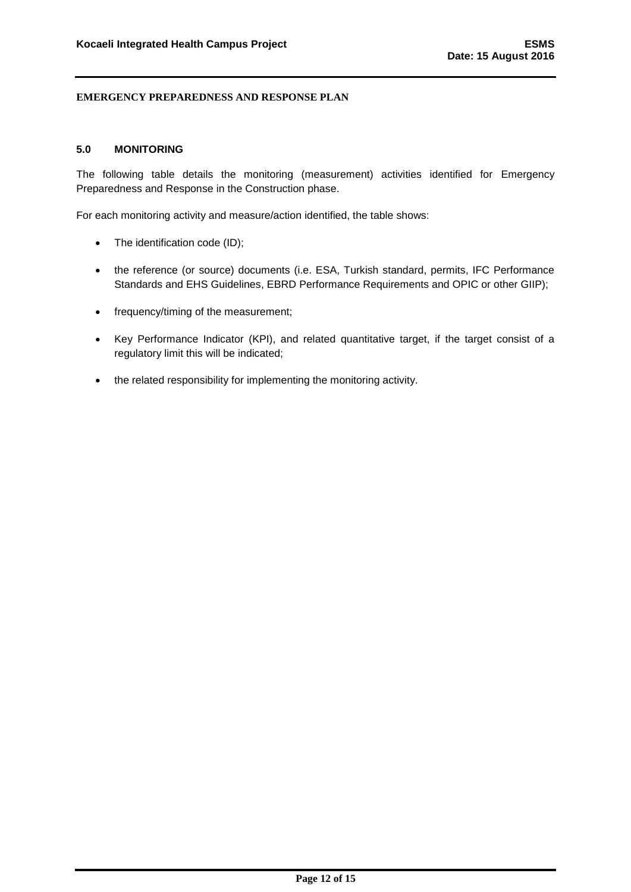## <span id="page-12-0"></span>**5.0 MONITORING**

The following table details the monitoring (measurement) activities identified for Emergency Preparedness and Response in the Construction phase.

For each monitoring activity and measure/action identified, the table shows:

- The identification code (ID);
- the reference (or source) documents (i.e. ESA, Turkish standard, permits, IFC Performance Standards and EHS Guidelines, EBRD Performance Requirements and OPIC or other GIIP);
- frequency/timing of the measurement;
- Key Performance Indicator (KPI), and related quantitative target, if the target consist of a regulatory limit this will be indicated;
- the related responsibility for implementing the monitoring activity.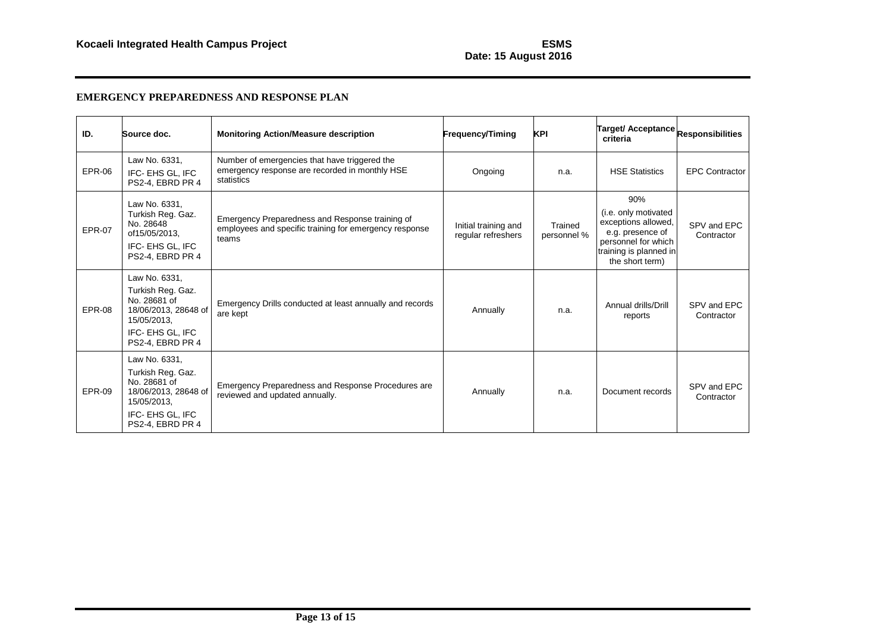# **Date: 15 August 2016**

| ID.           | Source doc.                                                                                                                       | <b>Monitoring Action/Measure description</b>                                                                       | <b>Frequency/Timing</b>                    | <b>KPI</b>             | Target/ Acceptance Responsibilities<br>criteria                                                                                            |                           |
|---------------|-----------------------------------------------------------------------------------------------------------------------------------|--------------------------------------------------------------------------------------------------------------------|--------------------------------------------|------------------------|--------------------------------------------------------------------------------------------------------------------------------------------|---------------------------|
| <b>EPR-06</b> | Law No. 6331,<br>IFC-EHS GL. IFC<br>PS2-4, EBRD PR 4                                                                              | Number of emergencies that have triggered the<br>emergency response are recorded in monthly HSE<br>statistics      | Ongoing                                    | n.a.                   | <b>HSE Statistics</b>                                                                                                                      | <b>EPC Contractor</b>     |
| <b>EPR-07</b> | Law No. 6331.<br>Turkish Reg. Gaz.<br>No. 28648<br>of15/05/2013,<br>IFC- EHS GL, IFC<br>PS2-4, EBRD PR 4                          | Emergency Preparedness and Response training of<br>employees and specific training for emergency response<br>teams | Initial training and<br>regular refreshers | Trained<br>personnel % | 90%<br>(i.e. only motivated<br>exceptions allowed,<br>e.g. presence of<br>personnel for which<br>training is planned in<br>the short term) | SPV and EPC<br>Contractor |
| <b>EPR-08</b> | Law No. 6331,<br>Turkish Reg. Gaz.<br>No. 28681 of<br>18/06/2013, 28648 of<br>15/05/2013.<br>IFC- EHS GL, IFC<br>PS2-4, EBRD PR 4 | Emergency Drills conducted at least annually and records<br>are kept                                               | Annually                                   | n.a.                   | Annual drills/Drill<br>reports                                                                                                             | SPV and EPC<br>Contractor |
| <b>EPR-09</b> | Law No. 6331,<br>Turkish Reg. Gaz.<br>No. 28681 of<br>18/06/2013, 28648 of<br>15/05/2013,<br>IFC- EHS GL, IFC<br>PS2-4, EBRD PR 4 | Emergency Preparedness and Response Procedures are<br>reviewed and updated annually.                               | Annually                                   | n.a.                   | Document records                                                                                                                           | SPV and EPC<br>Contractor |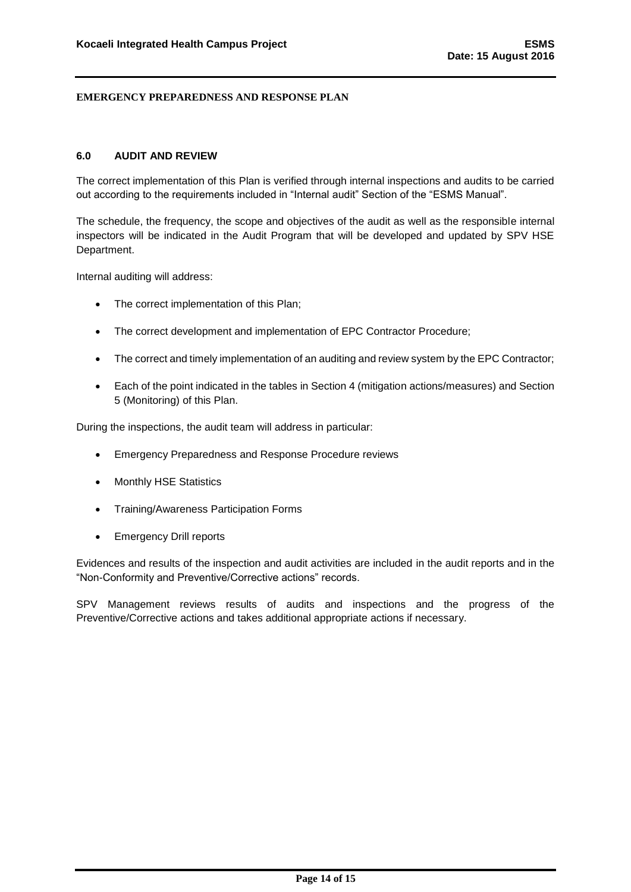## <span id="page-14-0"></span>**6.0 AUDIT AND REVIEW**

The correct implementation of this Plan is verified through internal inspections and audits to be carried out according to the requirements included in "Internal audit" Section of the "ESMS Manual".

The schedule, the frequency, the scope and objectives of the audit as well as the responsible internal inspectors will be indicated in the Audit Program that will be developed and updated by SPV HSE Department.

Internal auditing will address:

- The correct implementation of this Plan;
- The correct development and implementation of EPC Contractor Procedure;
- The correct and timely implementation of an auditing and review system by the EPC Contractor;
- Each of the point indicated in the tables in Section 4 (mitigation actions/measures) and Section 5 (Monitoring) of this Plan.

During the inspections, the audit team will address in particular:

- Emergency Preparedness and Response Procedure reviews
- Monthly HSE Statistics
- Training/Awareness Participation Forms
- Emergency Drill reports

Evidences and results of the inspection and audit activities are included in the audit reports and in the "Non-Conformity and Preventive/Corrective actions" records.

SPV Management reviews results of audits and inspections and the progress of the Preventive/Corrective actions and takes additional appropriate actions if necessary.